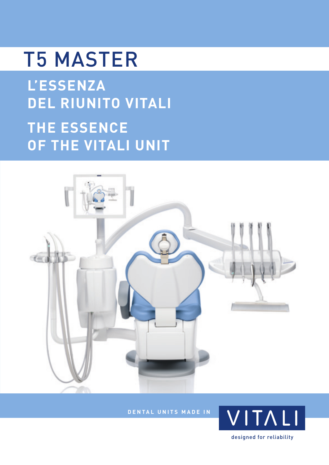## T5 MASTER

**L'ESSENZA DEL RIUNITO VITALI THE ESSENCE OF THE VITALI UNIT**



**DENTAL UNITS MADE IN**

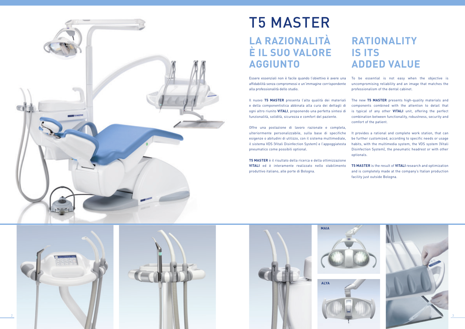



### T5 MASTER **LA RAZIONALITÀ È IL SUO VALORE AGGIUNTO**

Essere essenziali non è facile quando l'obiettivo è avere una affidabilità senza compromessi e un'immagine corrispondente alla professionalità dello studio. To be essential is not easy when the objective is uncompromising reliability and an image that matches the professionalism of the dental cabinet.

Offre una postazione di lavoro razionale e completa, ulteriormente personalizzabile, sulla base di specifiche esigenze o abitudini di utilizzo, con il sistema multimediale, il sistema VDS (Vitali Disinfection System) e l'appoggiatesta pneumatico come possibili optional.

Il nuovo **T5 MASTER** presenta l'alta qualità dei materiali e della componentistica abbinata alla cura dei dettagli di ogni altro riunito **VITALI**, proponendo una perfetta sintesi di funzionalità, solidità, sicurezza e comfort del paziente. The new **T5 MASTER** presents high-quality materials and components combined with the attention to detail that is typical of any other **VITALI** unit, offering the perfect combination between functionality, robustness, security and comfort of the patient.

**T5 MASTER** è il risultato della ricerca e della ottimizzazione **VITALI** ed è interamente realizzato nello stabilimento produttivo italiano, alle porte di Bologna.







#### **RATIONALITY IS ITS ADDED VALUE**

It provides a rational and complete work station, that can be further customized, according to specific needs or usage habits, with the multimedia system, the VDS system (Vitali Disinfection System), the pneumatic headrest or with other optionals.

**T5 MASTER** is the result of **VITALI** research and optimization and is completely made at the company's Italian production facility just outside Bologna.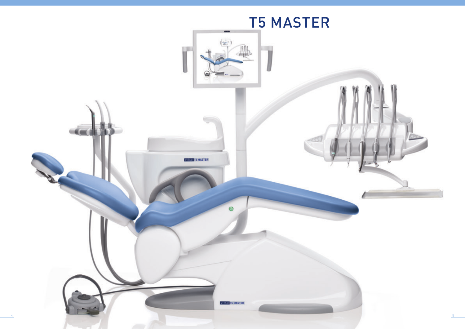

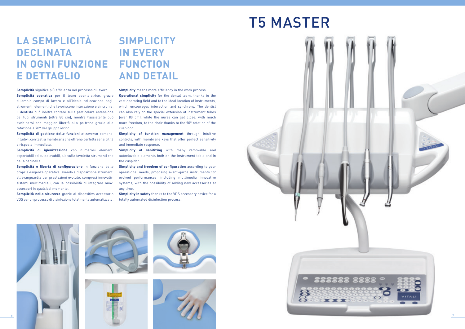## T5 MASTER







#### **LA SEMPLICITÀ DECLINATA IN OGNI FUNZIONE E DETTAGLIO**

**Semplicità** significa più efficienza nel processo di lavoro.

**Semplicità operativa** per il team odontoiatrico, grazie all'ampio campo di lavoro e all'ideale collocazione degli strumenti, elementi che favoriscono interazione e sincronia. Il dentista può inoltre contare sulla particolare estensione dei tubi strumenti (oltre 80 cm), mentre l'assistente può avvicinarsi con maggior libertà alla poltrona grazie alla rotazione a 90° del gruppo idrico.

**Semplicità di gestione delle funzioni** attraverso comandi intuitivi, con tasti a membrana che offrono perfetta sensibilità e risposta immediata.

**Semplicità di igienizzazione** con numerosi elementi asportabili ed autoclavabili, sia sulla tavoletta strumenti che nella bacinella.

**Simplicity** means more efficiency in the work process. **Operational simplicity** for the dental team, thanks to the vast operating field and to the ideal location of instruments, which encourages interaction and synchrony. The dentist can also rely on the special extension of instrument tubes (over 80 cm), while the nurse can get close, with much more freedom, to the chair thanks to the 90° rotation of the cuspidor.

**Semplicità e libertà di configurazione** in funzione delle proprie esigenze operative, avendo a disposizione strumenti all'avanguardia per prestazioni evolute, compresi innovativi sistemi multimediali, con la possibilità di integrare nuovi accessori in qualsiasi momento.

**Simplicity of sanitizing** with many removable and autoclavable elements both on the instrument table and in the cuspidor.

**Semplicità nella sicurezza** grazie al dispositivo accessorio VDS per un processo di disinfezione totalmente automatizzato.

#### **SIMPLICITY IN EVERY FUNCTION AND DETAIL**

**Simplicity of function management** through intuitive controls, with membrane keys that offer perfect sensitivity and immediate response.

**Simplicity and freedom of configuration** according to your operational needs, proposing avant-garde instruments for evolved performances, including multimedia innovative systems, with the possibility of adding new accessories at any time.

**Simplicity in safety** thanks to the VDS accessory device for a totally automated disinfection process.